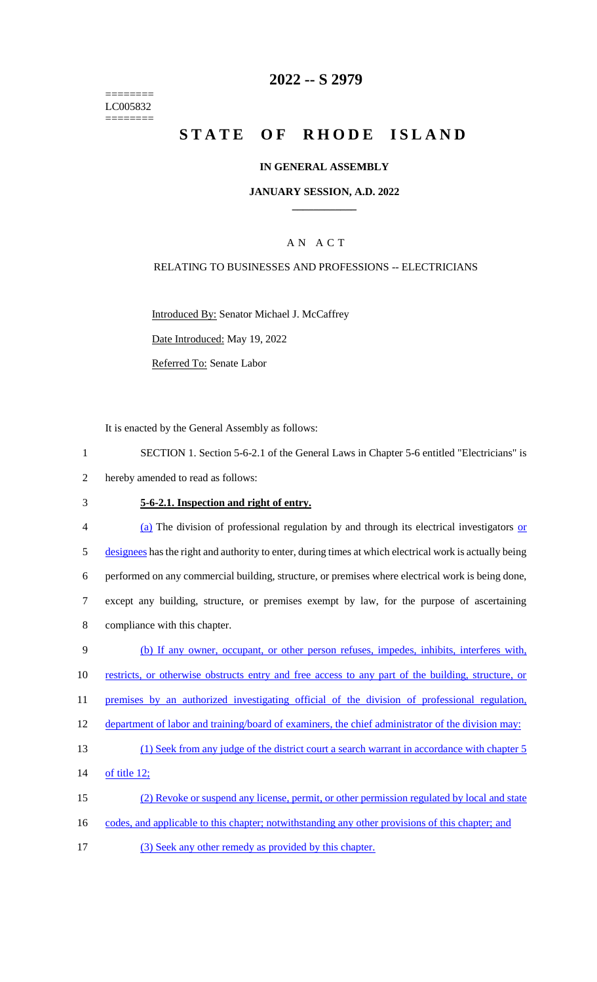======== LC005832  $=$ 

## **2022 -- S 2979**

# **STATE OF RHODE ISLAND**

### **IN GENERAL ASSEMBLY**

### **JANUARY SESSION, A.D. 2022 \_\_\_\_\_\_\_\_\_\_\_\_**

### A N A C T

### RELATING TO BUSINESSES AND PROFESSIONS -- ELECTRICIANS

Introduced By: Senator Michael J. McCaffrey

Date Introduced: May 19, 2022

Referred To: Senate Labor

It is enacted by the General Assembly as follows:

| SECTION 1. Section 5-6-2.1 of the General Laws in Chapter 5-6 entitled "Electricians" is |  |
|------------------------------------------------------------------------------------------|--|
|------------------------------------------------------------------------------------------|--|

- 2 hereby amended to read as follows:
- 

### 3 **5-6-2.1. Inspection and right of entry.**

| $\overline{4}$ | (a) The division of professional regulation by and through its electrical investigators or              |
|----------------|---------------------------------------------------------------------------------------------------------|
| 5              | designees has the right and authority to enter, during times at which electrical work is actually being |
| 6              | performed on any commercial building, structure, or premises where electrical work is being done,       |
|                | except any building, structure, or premises exempt by law, for the purpose of ascertaining              |
| 8              | compliance with this chapter.                                                                           |

| 9  | (b) If any owner, occupant, or other person refuses, impedes, inhibits, interferes with,           |
|----|----------------------------------------------------------------------------------------------------|
| 10 | restricts, or otherwise obstructs entry and free access to any part of the building, structure, or |
| 11 | premises by an authorized investigating official of the division of professional regulation,       |
| 12 | department of labor and training/board of examiners, the chief administrator of the division may:  |
| 13 | (1) Seek from any judge of the district court a search warrant in accordance with chapter 5        |
| 14 | of title 12;                                                                                       |
| 15 | (2) Revoke or suspend any license, permit, or other permission regulated by local and state        |
| 16 | codes, and applicable to this chapter; notwithstanding any other provisions of this chapter; and   |

17 (3) Seek any other remedy as provided by this chapter.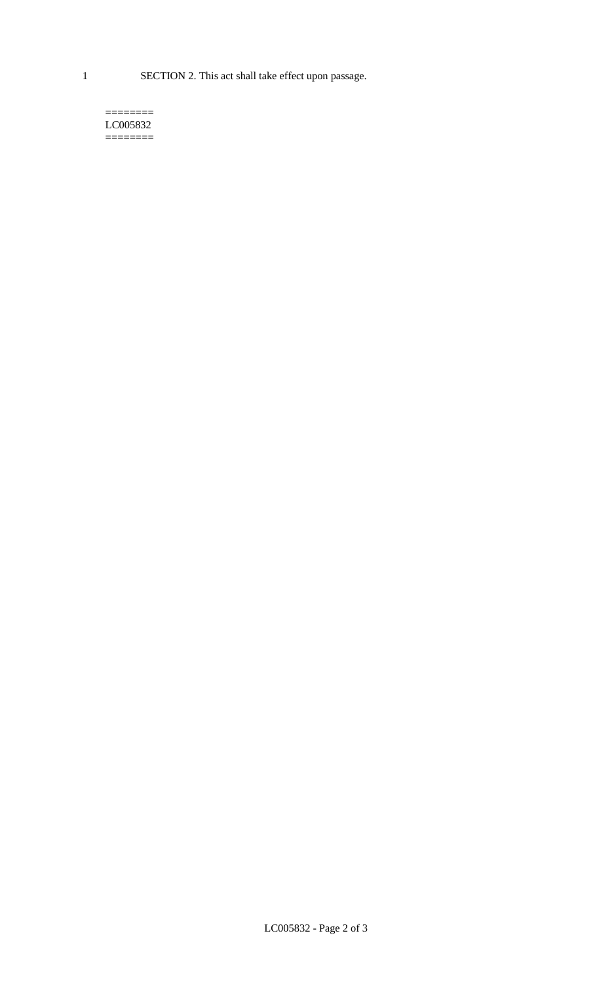1 SECTION 2. This act shall take effect upon passage.

#### $=$ LC005832 ========